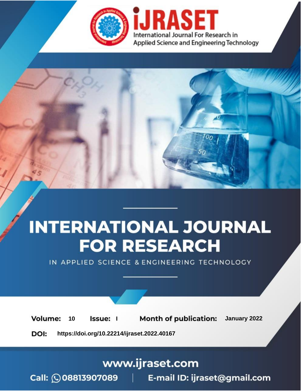

# **INTERNATIONAL JOURNAL FOR RESEARCH**

IN APPLIED SCIENCE & ENGINEERING TECHNOLOGY

**Month of publication:** January 2022 **Volume:** 10 **Issue:** I

DOI: https://doi.org/10.22214/ijraset.2022.40167

www.ijraset.com

Call: 008813907089 | E-mail ID: ijraset@gmail.com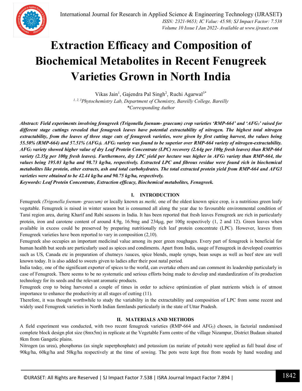

### **Extraction Efficacy and Composition of Biochemical Metabolites in Recent Fenugreek Varieties Grown in North India**

Vikas Jain<sup>1</sup>, Gajendra Pal Singh<sup>2</sup>, Ruchi Agarwal<sup>3\*</sup> *1, 2, 3Phytochemistry Lab, Department of Chemistry, Bareilly College, Bareilly \*Corresponding Author*

*Abstract: Field experiments involving fenugreek (Trigonella foenum- graecum) crop varieties 'RMP-664' and 'AFG3' raised for different stage cuttings revealed that fenugreek leaves have potential extractability of nitrogen. The highest total nitrogen extractability, from the leaves of three stage cuts of fenugreek varieties, were given by first cutting harvest, the values being 55.50% (RMP-664) and 57.51% (AFG3). AFG<sup>3</sup> variety was found to be superior over RMP-664 variety of nitrogen-extractability. AFG<sup>3</sup> variety showed higher value of dry Leaf Protein Concentrate (LPC) recovery (2.64g per 100g fresh leaves) than RMP-664 variety (2.35g per 100g fresh leaves). Furthermore, dry LPC yield per hectare was higher in AFG<sup>3</sup> variety than RMP-664, the values being 195.03 kg/ha and 98.73 kg/ha, respectively. Extracted LPC and fibrous residue were found rich in biochemical metabolites like protein, ether extracts, ash and total carbohydrates. The total extracted protein yield from RMP-664 and AFG3 varieties were obtained to be 42.44 kg/ha and 90.75 kg/ha, respectively.*

*Keywords: Leaf Protein Concentrate, Extraction efficacy, Biochemical metabolites, Fenugreek.*

#### **I. INTRODUCTION**

Fenugreek *(Trigonella foenum- graecum)* or locally known as *methi,* one of the oldest known spice crop, is a nutritious green leafy vegetable. Fenugreek is raised in winter season but is consumed all along the year due to favourable environmental condition of Tarai region area, during Kharif and Rabi seasons in India. It has been reported that fresh leaves Fenugreek are rich in particularly protein, iron and carotene content of around 4.9g, 16.9mg and 234g, per 100g respectively (1, 2 and 12). Green leaves when available in excess could be preserved by preparing nutritionally rich leaf protein concentrate (LPC). However, leaves from Fenugreek varieties have been reported to vary in composition (2,10).

Fenugreek also occupies an important medicinal value among its peer green roughages. Every part of fenugreek is beneficial for human health but seeds are particularly used as spices and condiments. Apart from India, usage of Fenugreek in developed countries such as US, Canada etc in preparation of chutneys /sauces, spice blends, maple syrups, bean soups as well as beef stew are well known today. It is also added to sweets given to ladies after their post natal period.

India today, one of the significant exporter of spices to the world, can overtake others and can comment its leadership particularly in case of Fenugreek. There seems to be no systematic and serious efforts being made to develop and standardization of its production technology for its seeds and the relevant aromatic products.

Fenugreek crop to being harvested a couple of times in order to achieve optimization of plant nutrients which is of utmost importance to enhance the productivity at all stages of cutting (11).

Therefore, it was thought worthwhile to study the variability in the extractability and composition of LPC from some recent and widely used Fenugreek varieties in North Indian farmlands particularly in the state of Uttar Pradesh.

#### **II. MATERIALS AND METHODS**

A field experiment was conducted, with two recent fenugreek varieties (RMP-664 and AFG3) chosen, in factorial randomised complete block design plot size (8mx5m) in replicate at the Vegetable Farm centre of the village Nizampur, District Budaun situated 8km from Gangetic plains.

Nitrogen (as urea), phosphorus (as single superphosphate) and potassium (as nuriate of potash) were applied as full basal dose of 90kg/ha, 60kg/ha and 50kg/ha respectively at the time of sowing. The pots were kept free from weeds by hand weeding and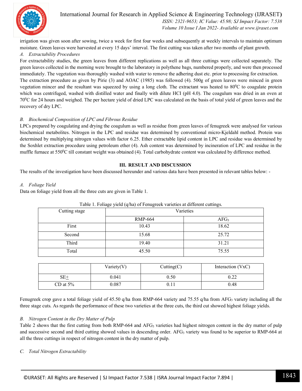

International Journal for Research in Applied Science & Engineering Technology (IJRASET**)**  *ISSN: 2321-9653; IC Value: 45.98; SJ Impact Factor: 7.538 Volume 10 Issue I Jan 2022- Available at www.ijraset.com*

irrigation was given soon after sowing, twice a week for first four weeks and subsequently at weekly intervals to maintain optimum moisture. Green leaves were harvested at every 15 days' interval. The first cutting was taken after two months of plant growth.

#### *A. Extractability Procedures*

For extractability studies, the green leaves from different replications as well as all three cuttings were collected separately. The green leaves collected in the morning were brought to the laboratory in polythene bags, numbered properly, and were then processed immediately. The vegetation was thoroughly washed with water to remove the adhering dust etc. prior to processing for extraction. The extraction procedure as given by Pirie (3) and AOAC (1985) was followed (4). 500g of green leaves were minced in green vegetation mincer and the resultant was squeezed by using a long cloth. The extractant was heated to  $80^{\circ}$ C to coagulate protein which was centrifuged, washed with distilled water and finally with dilute HCI (pH 4.0). The coagulum was dried in an oven at 70<sup>0</sup>C for 24 hours and weighed. The per hectare yield of dried LPC was calculated on the basis of total yield of green leaves and the recovery of dry LPC.

#### *B. Biochemical Composition of LPC and Fibrous Residue*

LPCs prepared by coagulating and drying the coagulum as well as residue from green leaves of fenugreek were analysed for various biochemical metabolites. Nitrogen in the LPC and residue was determined by conventional micro-Kjeldahl method. Protein was determined by multiplying nitrogen values with factor 6.25. Ether extractable lipid content in LPC and residue was determined by the Soxhlet extraction procedure using petroleum ether (4). Ash content was determined by incineration of LPC and residue in the muffle furnace at 550 $\degree$ C till constant weight was obtained (4). Total carbohydrate content was calculated by difference method.

#### **III. RESULT AND DISCUSSION**

The results of the investigation have been discussed hereunder and various data have been presented in relevant tables below: -

#### *A. Foliage Yield*

Data on foliage yield from all the three cuts are given in Table 1.

| Cutting stage | Varieties      |                  |  |  |  |
|---------------|----------------|------------------|--|--|--|
|               | <b>RMP-664</b> | AFG <sub>3</sub> |  |  |  |
| First         | 10.43          | 18.62            |  |  |  |
| Second        | 15.68          | 25.72            |  |  |  |
| Third         | 19.40          | 31.21            |  |  |  |
| Total         | 45.50          | 75.55            |  |  |  |
|               |                |                  |  |  |  |

#### Table 1. Foliage yield (q/ha) of Fenugreek varieties at different cuttings.

|             | Variety $(V)$ | Cutting(C) | Interaction (VxC) |
|-------------|---------------|------------|-------------------|
| $SE_{+}$    | 0.041         | 0.50       | 0.22              |
| CD at $5\%$ | 0.087         | 0.11       | 0.48              |

Fenugreek crop gave a total foliage yield of 45.50 q/ha from RMP-664 variety and 75.55 q/ha from AFG<sub>3</sub> variety including all the three stage cuts. As regards the performance of these two varieties at the three cuts, the third cut showed highest foliage yields.

#### *B. Nitrogen Content in the Dry Matter of Pulp*

Table 2 shows that the first cutting from both RMP-664 and AFG<sub>3</sub> varieties had highest nitrogen content in the dry matter of pulp and successive second and third cutting showed values in descending order. AFG<sup>3</sup> variety was found to be superior to RMP-664 at all the three cuttings in respect of nitrogen content in the dry matter of pulp.

#### *C. Total Nitrogen Extractability*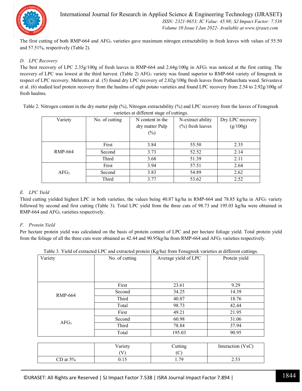

The first cutting of both RMP-664 and AFG<sup>3</sup> varieties gave maximum nitrogen extractability in fresh leaves with values of 55.50 and 57.51%, respectively (Table 2).

#### *D. LPC Recovery*

The best recovery of LPC 2.35g/100g of fresh leaves in RMP-664 and 2.64g/100g in AFG<sub>3</sub> was noticed at the first cutting. The recovery of LPC was lowest at the third harvest. (Table 2) AFG<sub>3</sub> variety was found superior to RMP-664 variety of fenugreek in respect of LPC recovery. Mehrotra et al. (5) found dry LPC recovery of 2.02g/100g fresh leaves from Patharchata weed. Srivastava et al. (6) studied leaf protein recovery from the haulms of eight potato varieties and found LPC recovery from 2.54 to 2.92g/100g of fresh haulms.

Table 2. Nitrogen content in the dry matter pulp (%), Nitrogen extractability (%) and LPC recovery from the leaves of Fenugreek varieties at different stage of cuttings.

| Variety          | No. of cutting | N content in the | N-extract ability   | Dry LPC recovery |
|------------------|----------------|------------------|---------------------|------------------|
|                  |                | dry matter Pulp  | $(\%)$ fresh leaves | (g/100g)         |
|                  |                | $(\%)$           |                     |                  |
|                  |                |                  |                     |                  |
|                  | First          | 3.84             | 55.50               | 2.35             |
| RMP-664          | Second         | 3.73             | 52.52               | 2.14             |
|                  | Third          | 3.68             | 51.39               | 2.11             |
|                  | First          | 3.94             | 57.51               | 2.64             |
| AFG <sub>3</sub> | Second         | 3.83             | 54.89               | 2.62             |
|                  | Third          | 3.77             | 53.62               | 2.52             |

#### *E. LPC Yield*

Third cutting yielded highest LPC in both varieties, the values being  $40.87$  kg/ha in RMP-664 and 78.85 kg/ha in AFG<sub>3</sub> variety followed by second and first cutting (Table 3). Total LPC yield from the three cuts of 98.73 and 195.03 kg/ha were obtained in RMP-664 and AFG<sub>3</sub> varieties respectively.

#### *F. Protein Yield*

Per hectare protein yield was calculated on the basis of protein content of LPC and per hectare foliage yield. Total protein yield from the foliage of all the three cuts were obtained as 42.44 and 90.95kg/ha from RMP-664 and AFG<sub>3</sub> varieties respectively.

| Variety | No. of cutting | Average yield of LPC | Protein yield |
|---------|----------------|----------------------|---------------|
|         |                |                      |               |

Table 3. Yield of extracted LPC and extracted protein (Kg/ha) from Fenugreek varieties at different cuttings.

| Variety          | No. of cutting | Average yield of LPC | Protein yield |
|------------------|----------------|----------------------|---------------|
|                  |                |                      |               |
|                  | First          | 23.61                | 9.29          |
| <b>RMP-664</b>   | Second         | 34.25                | 14.39         |
|                  | Third          | 40.87                | 18.76         |
|                  | Total          | 98.73                | 42.44         |
|                  | First          | 49.21                | 21.95         |
| AFG <sub>3</sub> | Second         | 60.98                | 31.06         |
|                  | Third          | 78.84                | 37.94         |
|                  | Total          | 195.03               | 90.95         |
|                  |                |                      |               |

|             | Variety | Cutting | Interaction (VxC) |
|-------------|---------|---------|-------------------|
|             | V       | ◡       |                   |
| CD at $5\%$ | v. i J  | 70      | າ ເາ<br>ر ر…∠     |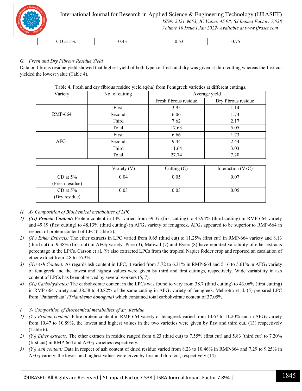

### *G. Fresh and Dry Fibrous Residue Yield*

Data on fibrous residue yield showed that highest yield of both type i.e. fresh and dry was given at third cutting whereas the first cut yielded the lowest value (Table 4).

| Variety          | No. of cutting | Average yield         |                     |  |
|------------------|----------------|-----------------------|---------------------|--|
|                  |                | Fresh fibrous residue | Dry fibrous residue |  |
|                  | First          | 3.95                  | 1.14                |  |
| <b>RMP-664</b>   | Second         | 6.06                  | 1.74                |  |
|                  | Third          | 7.62                  | 2.17                |  |
|                  | Total          | 17.63                 | 5.05                |  |
|                  | First          | 6.66                  | 1.73                |  |
| AFG <sub>3</sub> | Second         | 9.44                  | 2.44                |  |
|                  | Third          | 11.64                 | 3.03                |  |
|                  | Total          | 27.74                 | 7.20                |  |

Table 4. Fresh and dry fibrous residue yield (q/ha) from Fenugreek varieties at different cuttings.

|                                | Variety (V) | Cutting $(C)$ | Interaction (VxC) |
|--------------------------------|-------------|---------------|-------------------|
| CD at $5\%$<br>(Fresh residue) | 0.04        | 0.05          | 0.07              |
| CD at $5\%$<br>(Dry residue)   | 0.03        | 0.03          | 0.05              |

- *H. X- Composition of Biochemical metabolites of LPC*
- *1) (X1) Protein Content:* Protein content in LPC varied from 39.37 (first cutting) to 45.94% (third cutting) in RMP-664 variety and 49.19 (first cutting) to 48.13% (third cutting) in AFG<sub>3</sub> variety of fenugreek. AFG<sub>3</sub> appeared to be superior to RMP-664 in respect of protein content of LPC (Table 5).
- *2) (X2) Ether Extracts:* The ether extracts in LPC varied from 9.65 (third cut) to 11.25% (first cut) in RMP-664 variety and 8.13 (third cut) to 9.38% (first cut) in AFG<sup>3</sup> variety. Pirie (3), Maliwal (7) and Byers (8) have reported variability of ether extracts percentage in the LPCs. Carson et al. (9) also extracted LPCs from the tropical Napier fodder crop and reported an escalation of ether extract from 2.8 to 16.3%.
- *3)*  $(X_3)$  *Ash Content:* As regards ash content in LPC, it varied from 5.72 to 6.31% in RMP-664 and 5.16 to 5.61% in AFG<sub>3</sub> variety of fenugreek and the lowest and highest values were given by third and first cuttings, respectively. Wide variability in ash content of LPCs has been observed by several workers (5, 7).
- *4) (X4) Carbohydrates:* The carbohydrate content in the LPCs was found to vary from 38.7 (third cutting) to 43.06% (first cutting) in RMP-664 variety and 38.58 to 40.82% of the same cutting in AFG<sup>3</sup> variety of fenugreek. Mehrotra et al. (5) prepared LPC from 'Patharchata' *(Trianthema honogyna)* which contained total carbohydrate content of 37.05%.
- *I. Y- Composition of Biochemical metabolites of dry Residue*
- *1) (Y1) Protein content:* Fibre protein content in RMP-664 variety of fenugreek varied from 10.67 to 11.20% and in AFG<sup>3</sup> variety from 10.47 to 10.89%, the lowest and highest values in the two varieties were given by first and third cut, (13) respectively (Table 6).
- *2) (Y2) Ether extracts:* The ether extracts in residue ranged from 6.23 (third cut) to 7.55% (first cut) and 5.83 (third cut) to 7.20% (first cut) in RMP-664 and  $AFG_3$  varieties respectively.
- *3) (Y3) Ash content:* Data in respect of ash content of dried residue varied from 8.23 to 10.46% in RMP-664 and 7.29 to 9.25% in AFG<sup>3</sup> variety, the lowest and highest values were given by first and third cut, respectively (14).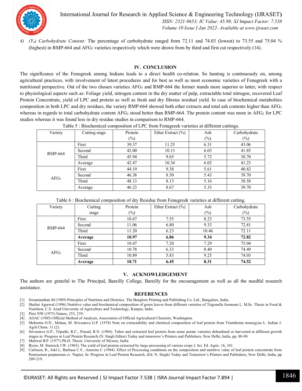

International Journal for Research in Applied Science & Engineering Technology (IJRASET**)**  *ISSN: 2321-9653; IC Value: 45.98; SJ Impact Factor: 7.538 Volume 10 Issue I Jan 2022- Available at www.ijraset.com*

*4) (Y4) Carbohydrate Content:* The percentage of carbohydrate ranged from 72.11 and 74.03 (lowest) to 73.55 and 75.04 % (highest) in RMP-664 and AFG<sup>3</sup> varieties respectively which were drawn from by third and first cut respectively (14).

#### **IV. CONCLUSION**

The significance of the Fenugreek among Indians leads to a direct health co-relation. So hunting is continuously on, among agricultural practices, with involvement of latest procedures and for best as well as most economic varieties of Fenugreek with a nutritional perspective. Out of the two chosen varieties  $AFG_3$  and  $RMP-664$  the former stands more superior to latter, with respect to physiological aspects such as: Foliage yield, nitrogen content in the dry matter of pulp, extractable total nitrogen, recovered Leaf Protein Concentrate, yield of LPC and protein as well as fresh and dry fibrous residual yield. In case of biochemical metabolites composition in both LPC and dry residues, the variety RMP-664 showed both ether extracts and total ash contents higher than  $AFG_3$ whereas in regards to total carbohydrate content AFG<sub>3</sub> stood better than RMP-664. The protein content was more in AFG<sub>3</sub> for LPC studies whereas it was found less in dry residue studies in comparison to RMP-664.

| Table $\sigma$ . Divertificate composition of ETC from I emagreen varieties at unferent cattings. |               |         |                       |        |              |  |
|---------------------------------------------------------------------------------------------------|---------------|---------|-----------------------|--------|--------------|--|
| Variety                                                                                           | Cutting stage | Protein | Ether Extract $(\% )$ | Ash    | Carbohydrate |  |
|                                                                                                   |               | $(\%)$  |                       | $(\%)$ | $(\%)$       |  |
|                                                                                                   | First         | 39.37   | 11.25                 | 6.31   | 43.06        |  |
| <b>RMP-664</b>                                                                                    | Second        | 42.00   | 10.13                 | 6.03   | 41.85        |  |
|                                                                                                   | Third         | 45.94   | 9.65                  | 5.72   | 38.70        |  |
|                                                                                                   | Average       | 42.47   | 10.34                 | 6.02   | 41.23        |  |
|                                                                                                   | First         | 44.19   | 9.38                  | 5.61   | 40.82        |  |
| AFG <sub>3</sub>                                                                                  | Second        | 46.38   | 8.50                  | 5.43   | 39.70        |  |
|                                                                                                   | Third         | 48.13   | 8.13                  | 5.16   | 38.58        |  |
|                                                                                                   | Average       | 46.23   | 8.67                  | 5.33   | 39.70        |  |

Table 5 : Biochemical composition of LPC from Fenugreek varieties at different cuttings.

| Table 6 : Biochemical composition of dry Residue from Fenugreek varieties at different cutting. |  |  |  |
|-------------------------------------------------------------------------------------------------|--|--|--|
|                                                                                                 |  |  |  |

| Variety          | Cutting | Protein | ັ<br>Ether Extract $(\% )$ | Ash    | $\overline{\phantom{0}}$<br>Carbohydrate |
|------------------|---------|---------|----------------------------|--------|------------------------------------------|
|                  | stage   | $(\%)$  |                            | $(\%)$ | $(\%)$                                   |
|                  | First   | 10.67   | 7.55                       | 8.23   | 73.55                                    |
| <b>RMP-664</b>   | Second  | 11.06   | 6.80                       | 9.33   | 72.81                                    |
|                  | Third   | 11.20   | 6.23                       | 10.46  | 72.11                                    |
|                  | Average | 10.97   | 6.86                       | 9.34   | 72.82                                    |
|                  | First   | 10.47   | 7.20                       | 7.29   | 75.04                                    |
| AFG <sub>3</sub> | Second  | 10.78   | 6.33                       | 8.40   | 74.49                                    |
|                  | Third   | 10.89   | 5.83                       | 9.25   | 74.03                                    |
|                  | Average | 10.71   | 6.45                       | 8.31   | 74.52                                    |

#### **V. ACKNOWLEDGEMENT**

The authors are grateful to The Principal, Bareilly College, Bareilly for the encouragement as well as all the needful research assistance.

#### **REFERENCES**

- [1] Swaminathan M (1989) Principles of Nutrition and Dietetics. The Banglore Printing and Publishing Co. Ltd., Bangalore, India.
- [2] Shalini Agarwal (1996) Nutritive value and biochemical composition of green leaves from different varieties of Trigonella foennum L. M.Sc. Thesis in Food & Nutrition, C.S. Azad University of Agriculture and Technology, Kanpur, India.
- [3] Pirie NW (1975) Nature, 253, 239.
- [4] AOAC (1985) Official Method of Analysis, Association of Official Agricultural Chemists, Washington.
- [5] Mehrotra O.N., Mohan, M. Srivastava G.P. (1978) Note on extractability and chemical composition of leaf protein from Trianthema monogyna L. Indian J. Agril Chem. 11 (2).
- [6] Srivastava G.P., Tripathi, R.C., Prasad, R.N. (1984). Tuber and extracted leaf protein from some potato varieties dehaulmed or harvested at different growth stages in: Progress in Leaf Protein Research (N. Singh Editor) Today and tomorrow's Printers and Publishers, New Delhi, India, pp. 88-90.
- [7] Maliwal B.P. (1977) Ph.D. Thesis. University of Mysore, India.
- [8] Byers, M. Sturrock J.W. (1965). The yield of leaf protein extracted by large processing of various crops J. Sci. Fd. Agric. 16, 341.
- [9] Carlsson, R., Jokl L, Barbasa C.F., Amorim C (1984). Effect of Processing conditions on the composition and nutritive value of leaf protein concentrate from Pennisetum purpureum cv. Napier, In: Progress in Leaf Protein Research, (Ed. N. Singh) Today and Tomorrow's Printers and Publishers, New Delhi, India, pp 209-219.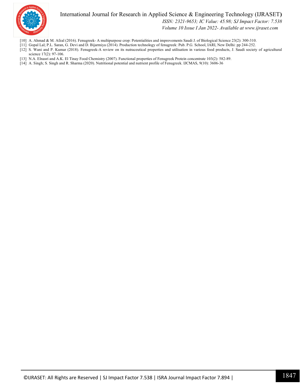

International Journal for Research in Applied Science & Engineering Technology (IJRASET**)**

 *ISSN: 2321-9653; IC Value: 45.98; SJ Impact Factor: 7.538*

 *Volume 10 Issue I Jan 2022- Available at www.ijraset.com*

- [10] A. Ahmad & M. Afzal (2016). Fenugreek- A multipurpose crop: Potentialities and improvements Saudi J. of Biological Science 23(2): 300-310.
- [11] Gopal Lal; P.L. Saran, G. Devi and D. Bijarmiya (2014). Production technology of fenugreek: Pub. P.G. School, IARI, New Delhi: pp 244-252.
- [12] S. Wani and P. Kumar (2018). Fenugreek-A review on its nutraceutical properties and utilisation in various food products, J. Saudi society of agricultural science 17(2): 97-106.
- [13] N.A. Elnasri and A.K. El Tinay Food Chemistry (2007). Functional properties of Fenugreek Protein concentrate 103(2): 582-89.
- [14] A. Singh; S. Singh and R. Sharma (2020). Nutritional potential and nutrient profile of Fenugreek. IJCMAS, 9(10): 3606-36